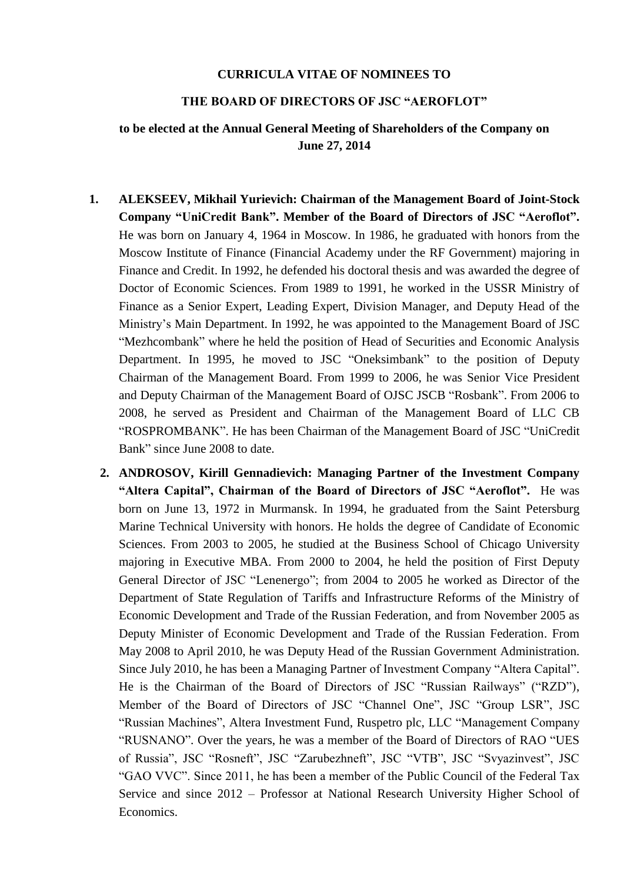## **CURRICULA VITAE OF NOMINEES TO**

## **THE BOARD OF DIRECTORS OF JSC "AEROFLOT"**

## **to be elected at the Annual General Meeting of Shareholders of the Company on June 27, 2014**

- **1. ALEKSEEV, Mikhail Yurievich: Chairman of the Management Board of Joint-Stock Company "UniCredit Bank". Member of the Board of Directors of JSC "Aeroflot".**  He was born on January 4, 1964 in Moscow. In 1986, he graduated with honors from the Moscow Institute of Finance (Financial Academy under the RF Government) majoring in Finance and Credit. In 1992, he defended his doctoral thesis and was awarded the degree of Doctor of Economic Sciences. From 1989 to 1991, he worked in the USSR Ministry of Finance as a Senior Expert, Leading Expert, Division Manager, and Deputy Head of the Ministry's Main Department. In 1992, he was appointed to the Management Board of JSC "Mezhcombank" where he held the position of Head of Securities and Economic Analysis Department. In 1995, he moved to JSC "Oneksimbank" to the position of Deputy Chairman of the Management Board. From 1999 to 2006, he was Senior Vice President and Deputy Chairman of the Management Board of OJSC JSCB "Rosbank". From 2006 to 2008, he served as President and Chairman of the Management Board of LLC CB "ROSPROMBANK". He has been Chairman of the Management Board of JSC "UniCredit Bank" since June 2008 to date.
	- **2. ANDROSOV, Kirill Gennadievich: Managing Partner of the Investment Company "Altera Capital", Chairman of the Board of Directors of JSC "Aeroflot".** He was born on June 13, 1972 in Murmansk. In 1994, he graduated from the Saint Petersburg Marine Technical University with honors. He holds the degree of Candidate of Economic Sciences. From 2003 to 2005, he studied at the Business School of Chicago University majoring in Executive MBA. From 2000 to 2004, he held the position of First Deputy General Director of JSC "Lenenergo"; from 2004 to 2005 he worked as Director of the Department of State Regulation of Tariffs and Infrastructure Reforms of the Ministry of Economic Development and Trade of the Russian Federation, and from November 2005 as Deputy Minister of Economic Development and Trade of the Russian Federation. From May 2008 to April 2010, he was Deputy Head of the Russian Government Administration. Since July 2010, he has been a Managing Partner of Investment Company "Altera Capital". He is the Chairman of the Board of Directors of JSC "Russian Railways" ("RZD"), Member of the Board of Directors of JSC "Channel One", JSC "Group LSR", JSC "Russian Machines", Altera Investment Fund, Ruspetro plc, LLC "Management Company "RUSNANO". Over the years, he was a member of the Board of Directors of RAO "UES of Russia", JSC "Rosneft", JSC "Zarubezhneft", JSC "VTB", JSC "Svyazinvest", JSC "GAO VVC". Since 2011, he has been a member of the Public Council of the Federal Tax Service and since 2012 – Professor at National Research University Higher School of Economics.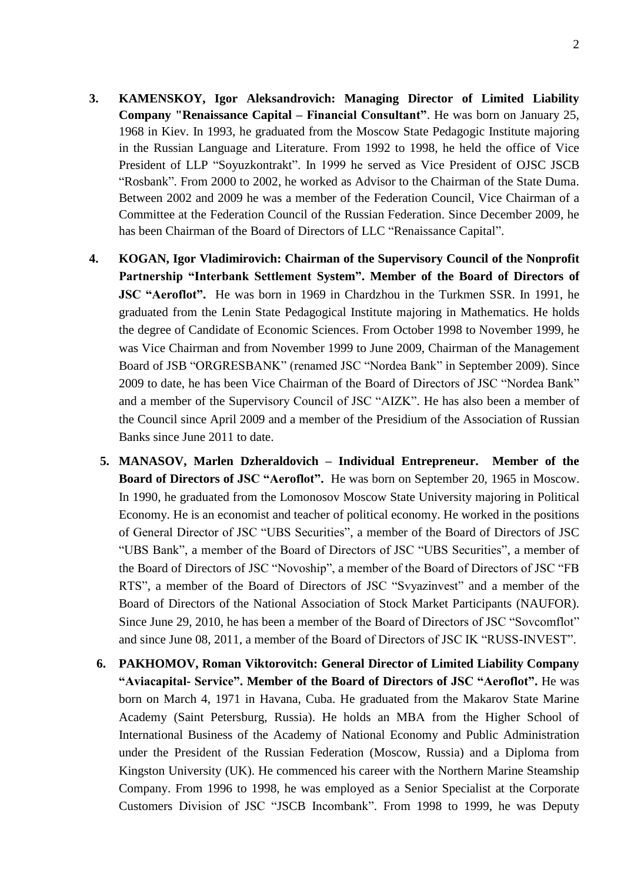- **3. KAMENSKOY, Igor Aleksandrovich: Managing Director of Limited Liability Company "Renaissance Capital – Financial Consultant"**. He was born on January 25, 1968 in Kiev. In 1993, he graduated from the Moscow State Pedagogic Institute majoring in the Russian Language and Literature. From 1992 to 1998, he held the office of Vice President of LLP "Soyuzkontrakt". In 1999 he served as Vice President of OJSC JSCB "Rosbank". From 2000 to 2002, he worked as Advisor to the Chairman of the State Duma. Between 2002 and 2009 he was a member of the Federation Council, Vice Chairman of a Committee at the Federation Council of the Russian Federation. Since December 2009, he has been Chairman of the Board of Directors of LLC "Renaissance Capital".
- **4. KOGAN, Igor Vladimirovich: Chairman of the Supervisory Council of the Nonprofit Partnership "Interbank Settlement System". Member of the Board of Directors of JSC "Aeroflot".** He was born in 1969 in Chardzhou in the Turkmen SSR. In 1991, he graduated from the Lenin State Pedagogical Institute majoring in Mathematics. He holds the degree of Candidate of Economic Sciences. From October 1998 to November 1999, he was Vice Chairman and from November 1999 to June 2009, Chairman of the Management Board of JSB "ORGRESBANK" (renamed JSC "Nordea Bank" in September 2009). Since 2009 to date, he has been Vice Chairman of the Board of Directors of JSC "Nordea Bank" and a member of the Supervisory Council of JSC "AIZK". He has also been a member of the Council since April 2009 and a member of the Presidium of the Association of Russian Banks since June 2011 to date.
	- **5. MANASOV, Marlen Dzheraldovich – Individual Entrepreneur. Member of the Board of Directors of JSC "Aeroflot".** He was born on September 20, 1965 in Moscow. In 1990, he graduated from the Lomonosov Moscow State University majoring in Political Economy. He is an economist and teacher of political economy. He worked in the positions of General Director of JSC "UBS Securities", a member of the Board of Directors of JSC "UBS Bank", a member of the Board of Directors of JSC "UBS Securities", a member of the Board of Directors of JSC "Novoship", a member of the Board of Directors of JSC "FB RTS", a member of the Board of Directors of JSC "Svyazinvest" and a member of the Board of Directors of the National Association of Stock Market Participants (NAUFOR). Since June 29, 2010, he has been a member of the Board of Directors of JSC "Sovcomflot" and since June 08, 2011, a member of the Board of Directors of JSC IK "RUSS-INVEST".
	- **6. PAKHOMOV, Roman Viktorovitch: General Director of Limited Liability Company "Aviacapital- Service". Member of the Board of Directors of JSC "Aeroflot".** He was born on March 4, 1971 in Havana, Cuba. He graduated from the Makarov State Marine Academy (Saint Petersburg, Russia). He holds an МВА from the Higher School of International Business of the Academy of National Economy and Public Administration under the President of the Russian Federation (Moscow, Russia) and a Diploma from Kingston University (UK). He commenced his career with the Northern Marine Steamship Company. From 1996 to 1998, he was employed as a Senior Specialist at the Corporate Customers Division of JSC "JSCB Incombank". From 1998 to 1999, he was Deputy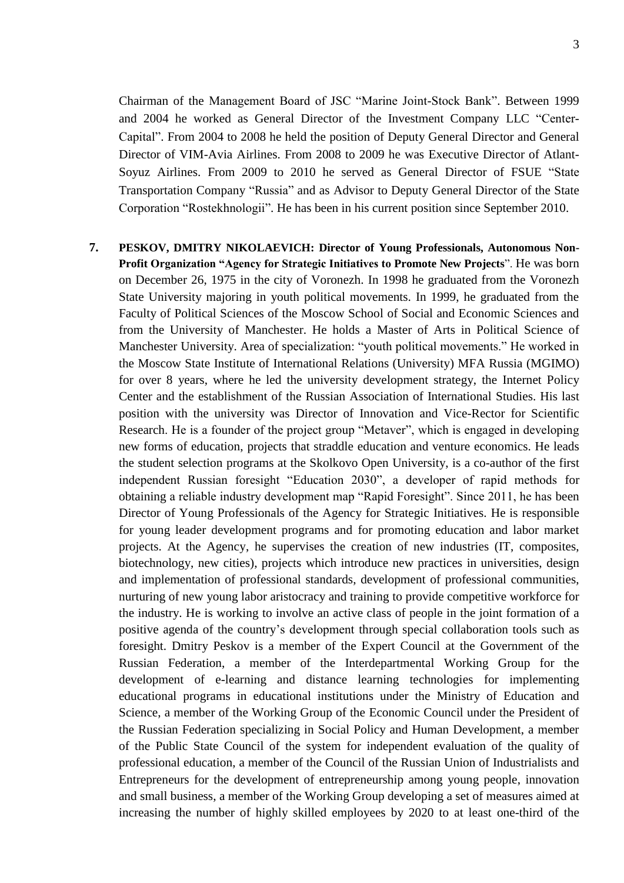Chairman of the Management Board of JSC "Marine Joint-Stock Bank". Between 1999 and 2004 he worked as General Director of the Investment Company LLC "Center-Capital". From 2004 to 2008 he held the position of Deputy General Director and General Director of VIM-Avia Airlines. From 2008 to 2009 he was Executive Director of Atlant-Soyuz Airlines. From 2009 to 2010 he served as General Director of FSUE "State Transportation Company "Russia" and as Advisor to Deputy General Director of the State Corporation "Rostekhnologii". He has been in his current position since September 2010.

**7. PESKOV, DMITRY NIKOLAEVICH: Director of Young Professionals, Autonomous Non-Profit Organization "Agency for Strategic Initiatives to Promote New Projects**". He was born on December 26, 1975 in the city of Voronezh. In 1998 he graduated from the Voronezh State University majoring in youth political movements. In 1999, he graduated from the Faculty of Political Sciences of the Moscow School of Social and Economic Sciences and from the University of Manchester. He holds a Master of Arts in Political Science of Manchester University. Area of specialization: "youth political movements." He worked in the Moscow State Institute of International Relations (University) MFA Russia (MGIMO) for over 8 years, where he led the university development strategy, the Internet Policy Center and the establishment of the Russian Association of International Studies. His last position with the university was Director of Innovation and Vice-Rector for Scientific Research. He is a founder of the project group "Metaver", which is engaged in developing new forms of education, projects that straddle education and venture economics. He leads the student selection programs at the Skolkovo Open University, is a co-author of the first independent Russian foresight "Education 2030", a developer of rapid methods for obtaining a reliable industry development map "Rapid Foresight". Since 2011, he has been Director of Young Professionals of the Agency for Strategic Initiatives. He is responsible for young leader development programs and for promoting education and labor market projects. At the Agency, he supervises the creation of new industries (IT, composites, biotechnology, new cities), projects which introduce new practices in universities, design and implementation of professional standards, development of professional communities, nurturing of new young labor aristocracy and training to provide competitive workforce for the industry. He is working to involve an active class of people in the joint formation of a positive agenda of the country's development through special collaboration tools such as foresight. Dmitry Peskov is a member of the Expert Council at the Government of the Russian Federation, a member of the Interdepartmental Working Group for the development of e-learning and distance learning technologies for implementing educational programs in educational institutions under the Ministry of Education and Science, a member of the Working Group of the Economic Council under the President of the Russian Federation specializing in Social Policy and Human Development, a member of the Public State Council of the system for independent evaluation of the quality of professional education, a member of the Council of the Russian Union of Industrialists and Entrepreneurs for the development of entrepreneurship among young people, innovation and small business, a member of the Working Group developing a set of measures aimed at increasing the number of highly skilled employees by 2020 to at least one-third of the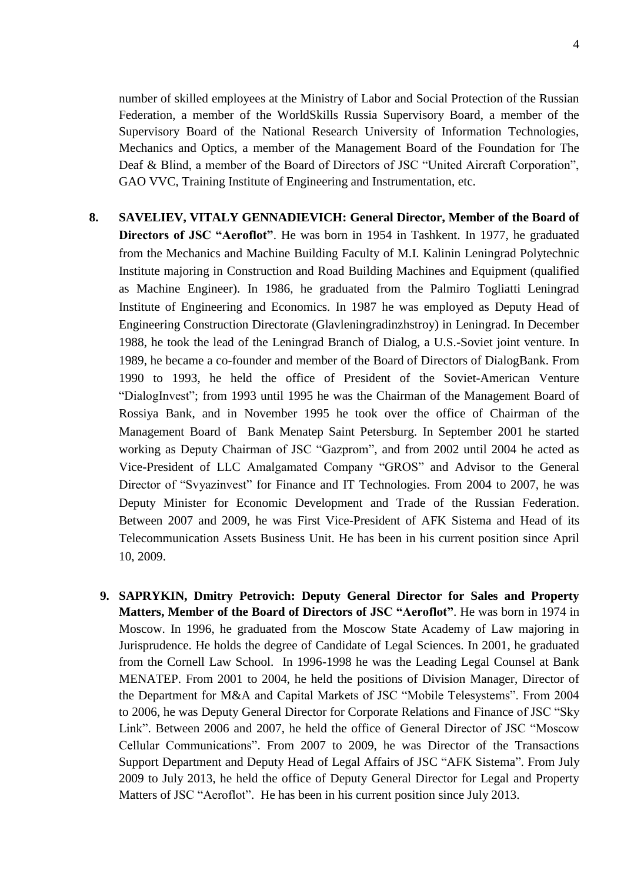number of skilled employees at the Ministry of Labor and Social Protection of the Russian Federation, a member of the WorldSkills Russia Supervisory Board, a member of the Supervisory Board of the National Research University of Information Technologies, Mechanics and Optics, a member of the Management Board of the Foundation for The Deaf & Blind, a member of the Board of Directors of JSC "United Aircraft Corporation", GAO VVC, Training Institute of Engineering and Instrumentation, etc.

- **8. SAVELIEV, VITALY GENNADIEVICH: General Director, Member of the Board of Directors of JSC "Aeroflot"**. He was born in 1954 in Tashkent. In 1977, he graduated from the Mechanics and Machine Building Faculty of M.I. Kalinin Leningrad Polytechnic Institute majoring in Construction and Road Building Machines and Equipment (qualified as Machine Engineer). In 1986, he graduated from the Palmiro Togliatti Leningrad Institute of Engineering and Economics. In 1987 he was employed as Deputy Head of Engineering Construction Directorate (Glavleningradinzhstroy) in Leningrad. In December 1988, he took the lead of the Leningrad Branch of Dialog, a U.S.-Soviet joint venture. In 1989, he became a co-founder and member of the Board of Directors of DialogBank. From 1990 to 1993, he held the office of President of the Soviet-American Venture "DialogInvest"; from 1993 until 1995 he was the Chairman of the Management Board of Rossiya Bank, and in November 1995 he took over the office of Chairman of the Management Board of Bank Menatep Saint Petersburg. In September 2001 he started working as Deputy Chairman of JSC "Gazprom", and from 2002 until 2004 he acted as Vice-President of LLC Amalgamated Company "GROS" and Advisor to the General Director of "Svyazinvest" for Finance and IT Technologies. From 2004 to 2007, he was Deputy Minister for Economic Development and Trade of the Russian Federation. Between 2007 and 2009, he was First Vice-President of AFK Sistema and Head of its Telecommunication Assets Business Unit. He has been in his current position since April 10, 2009.
	- **9. SAPRYKIN, Dmitry Petrovich: Deputy General Director for Sales and Property Matters, Member of the Board of Directors of JSC "Aeroflot"**. He was born in 1974 in Moscow. In 1996, he graduated from the Moscow State Academy of Law majoring in Jurisprudence. He holds the degree of Candidate of Legal Sciences. In 2001, he graduated from the Cornell Law School. In 1996-1998 he was the Leading Legal Counsel at Bank MENATEP. From 2001 to 2004, he held the positions of Division Manager, Director of the Department for M&A and Capital Markets of JSC "Mobile Telesystems". From 2004 to 2006, he was Deputy General Director for Corporate Relations and Finance of JSC "Sky Link". Between 2006 and 2007, he held the office of General Director of JSC "Moscow Cellular Communications". From 2007 to 2009, he was Director of the Transactions Support Department and Deputy Head of Legal Affairs of JSC "AFK Sistema". From July 2009 to July 2013, he held the office of Deputy General Director for Legal and Property Matters of JSC "Aeroflot". He has been in his current position since July 2013.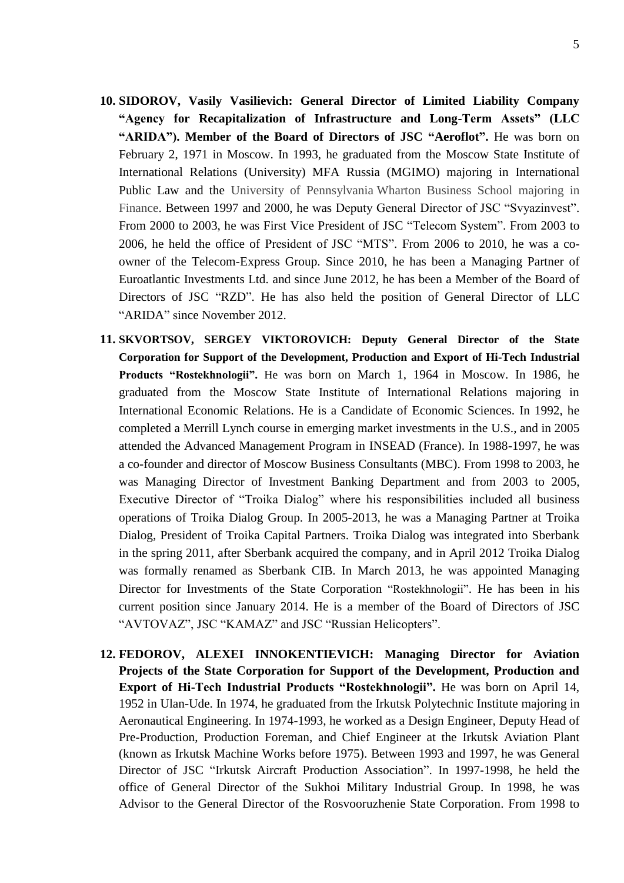- **10. SIDOROV, Vasily Vasilievich: General Director of Limited Liability Company "Agency for Recapitalization of Infrastructure and Long-Term Assets" (LLC "ARIDA"). Member of the Board of Directors of JSC "Aeroflot".** He was born on February 2, 1971 in Moscow. In 1993, he graduated from the Moscow State Institute of International Relations (University) MFA Russia (MGIMO) majoring in International Public Law and the University of Pennsylvania Wharton Business School majoring in Finance. Between 1997 and 2000, he was Deputy General Director of JSC "Svyazinvest". From 2000 to 2003, he was First Vice President of JSC "Telecom System". From 2003 to 2006, he held the office of President of JSC "MTS". From 2006 to 2010, he was a coowner of the Telecom-Express Group. Since 2010, he has been a Managing Partner of Euroatlantic Investments Ltd. and since June 2012, he has been a Member of the Board of Directors of JSC "RZD". He has also held the position of General Director of LLC "ARIDA" since November 2012.
- **11. SKVORTSOV, SERGEY VIKTOROVICH: Deputy General Director of the State Corporation for Support of the Development, Production and Export of Hi-Tech Industrial Products "Rostekhnologii".** He was born on March 1, 1964 in Moscow. In 1986, he graduated from the Moscow State Institute of International Relations majoring in International Economic Relations. He is a Candidate of Economic Sciences. In 1992, he completed a Merrill Lynch course in emerging market investments in the U.S., and in 2005 attended the Advanced Management Program in INSEAD (France). In 1988-1997, he was a co-founder and director of Moscow Business Consultants (MBC). From 1998 to 2003, he was Managing Director of Investment Banking Department and from 2003 to 2005, Executive Director of "Troika Dialog" where his responsibilities included all business operations of Troika Dialog Group. In 2005-2013, he was a Managing Partner at Troika Dialog, President of Troika Capital Partners. Troika Dialog was integrated into Sberbank in the spring 2011, after Sberbank acquired the company, and in April 2012 Troika Dialog was formally renamed as Sberbank CIB. In March 2013, he was appointed Managing Director for Investments of the State Corporation "Rostekhnologii". He has been in his current position since January 2014. He is a member of the Board of Directors of JSC "AVTOVAZ", JSC "KAMAZ" and JSC "Russian Helicopters".
- **12. FEDOROV, ALEXEI INNOKENTIEVICH: Managing Director for Aviation Projects of the State Corporation for Support of the Development, Production and Export of Hi-Tech Industrial Products "Rostekhnologii".** He was born on April 14, 1952 in Ulan-Ude. In 1974, he graduated from the Irkutsk Polytechnic Institute majoring in Aeronautical Engineering. In 1974-1993, he worked as a Design Engineer, Deputy Head of Pre-Production, Production Foreman, and Chief Engineer at the Irkutsk Aviation Plant (known as Irkutsk Machine Works before 1975). Between 1993 and 1997, he was General Director of JSC "Irkutsk Aircraft Production Association". In 1997-1998, he held the office of General Director of the Sukhoi Military Industrial Group. In 1998, he was Advisor to the General Director of the Rosvooruzhenie State Corporation. From 1998 to